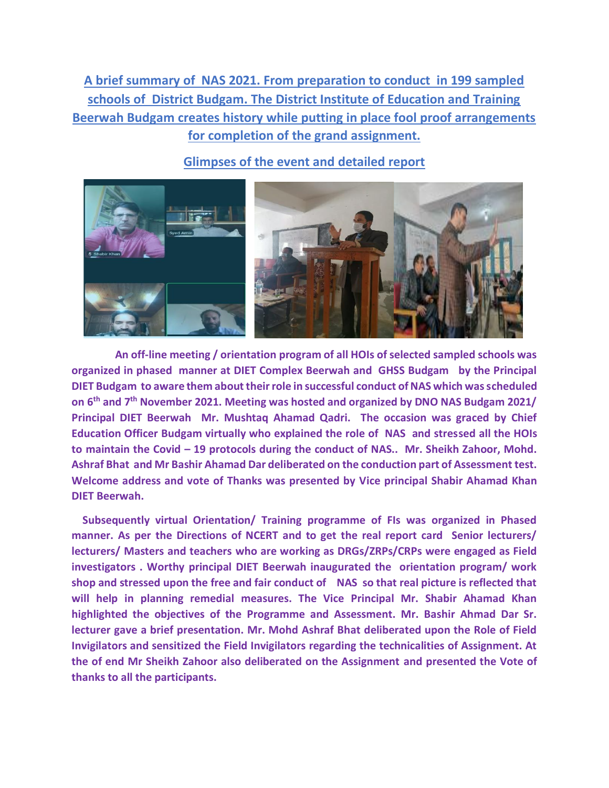**A brief summary of NAS 2021. From preparation to conduct in 199 sampled schools of District Budgam. The District Institute of Education and Training Beerwah Budgam creates history while putting in place fool proof arrangements for completion of the grand assignment.** 



**Glimpses of the event and detailed report** 

 **An off-line meeting / orientation program of all HOIs of selected sampled schools was organized in phased manner at DIET Complex Beerwah and GHSS Budgam by the Principal DIET Budgam to aware them about their role in successful conduct of NAS which was scheduled on 6th and 7th November 2021. Meeting was hosted and organized by DNO NAS Budgam 2021/ Principal DIET Beerwah Mr. Mushtaq Ahamad Qadri. The occasion was graced by Chief Education Officer Budgam virtually who explained the role of NAS and stressed all the HOIs to maintain the Covid – 19 protocols during the conduct of NAS.. Mr. Sheikh Zahoor, Mohd. Ashraf Bhat and Mr Bashir Ahamad Dar deliberated on the conduction part of Assessment test. Welcome address and vote of Thanks was presented by Vice principal Shabir Ahamad Khan DIET Beerwah.**

 **Subsequently virtual Orientation/ Training programme of FIs was organized in Phased manner. As per the Directions of NCERT and to get the real report card Senior lecturers/ lecturers/ Masters and teachers who are working as DRGs/ZRPs/CRPs were engaged as Field investigators . Worthy principal DIET Beerwah inaugurated the orientation program/ work shop and stressed upon the free and fair conduct of NAS so that real picture is reflected that will help in planning remedial measures. The Vice Principal Mr. Shabir Ahamad Khan highlighted the objectives of the Programme and Assessment. Mr. Bashir Ahmad Dar Sr. lecturer gave a brief presentation. Mr. Mohd Ashraf Bhat deliberated upon the Role of Field Invigilators and sensitized the Field Invigilators regarding the technicalities of Assignment. At the of end Mr Sheikh Zahoor also deliberated on the Assignment and presented the Vote of thanks to all the participants.**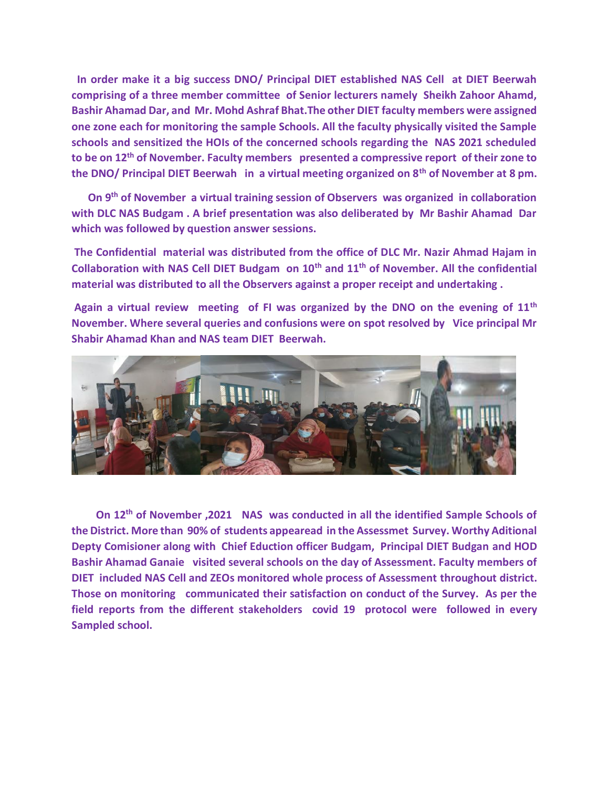**In order make it a big success DNO/ Principal DIET established NAS Cell at DIET Beerwah comprising of a three member committee of Senior lecturers namely Sheikh Zahoor Ahamd, Bashir Ahamad Dar, and Mr. Mohd Ashraf Bhat.The other DIET faculty members were assigned one zone each for monitoring the sample Schools. All the faculty physically visited the Sample schools and sensitized the HOIs of the concerned schools regarding the NAS 2021 scheduled to be on 12th of November. Faculty members presented a compressive report of their zone to the DNO/ Principal DIET Beerwah in a virtual meeting organized on 8th of November at 8 pm.**

 **On 9th of November a virtual training session of Observers was organized in collaboration with DLC NAS Budgam . A brief presentation was also deliberated by Mr Bashir Ahamad Dar which was followed by question answer sessions.**

**The Confidential material was distributed from the office of DLC Mr. Nazir Ahmad Hajam in Collaboration with NAS Cell DIET Budgam on 10th and 11th of November. All the confidential material was distributed to all the Observers against a proper receipt and undertaking .**

**Again a virtual review meeting of FI was organized by the DNO on the evening of 11th November. Where several queries and confusions were on spot resolved by Vice principal Mr Shabir Ahamad Khan and NAS team DIET Beerwah.** 



 **On 12th of November ,2021 NAS was conducted in all the identified Sample Schools of the District. More than 90% of students appearead in the Assessmet Survey. Worthy Aditional Depty Comisioner along with Chief Eduction officer Budgam, Principal DIET Budgan and HOD Bashir Ahamad Ganaie visited several schools on the day of Assessment. Faculty members of DIET included NAS Cell and ZEOs monitored whole process of Assessment throughout district. Those on monitoring communicated their satisfaction on conduct of the Survey. As per the field reports from the different stakeholders covid 19 protocol were followed in every Sampled school.**